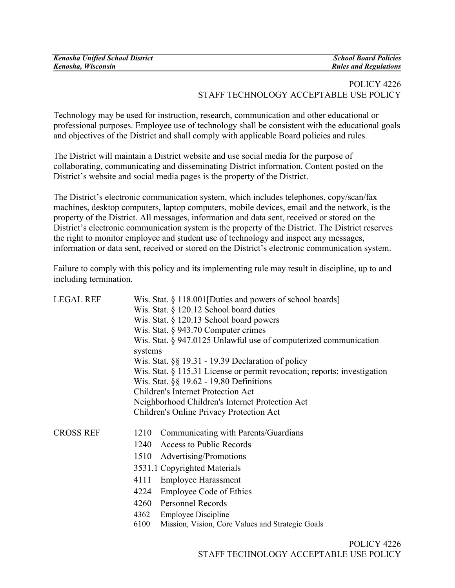| <b>Kenosha Unified School District</b> | <b>School Board Policies</b> |
|----------------------------------------|------------------------------|
| Kenosha, Wisconsin                     | <b>Rules and Regulations</b> |

### POLICY 4226 STAFF TECHNOLOGY ACCEPTABLE USE POLICY

Technology may be used for instruction, research, communication and other educational or professional purposes. Employee use of technology shall be consistent with the educational goals and objectives of the District and shall comply with applicable Board policies and rules.

The District will maintain a District website and use social media for the purpose of collaborating, communicating and disseminating District information. Content posted on the District's website and social media pages is the property of the District.

The District's electronic communication system, which includes telephones, copy/scan/fax machines, desktop computers, laptop computers, mobile devices, email and the network, is the property of the District. All messages, information and data sent, received or stored on the District's electronic communication system is the property of the District. The District reserves the right to monitor employee and student use of technology and inspect any messages, information or data sent, received or stored on the District's electronic communication system.

Failure to comply with this policy and its implementing rule may result in discipline, up to and including termination.

| <b>LEGAL REF</b> | Wis. Stat. $\S$ 118.001 [Duties and powers of school boards]<br>Wis. Stat. § 120.12 School board duties<br>Wis. Stat. § 120.13 School board powers<br>Wis. Stat. $\S$ 943.70 Computer crimes<br>Wis. Stat. § 947.0125 Unlawful use of computerized communication<br>systems<br>Wis. Stat. $\S\S 19.31 - 19.39$ Declaration of policy<br>Wis. Stat. § 115.31 License or permit revocation; reports; investigation<br>Wis. Stat. §§ 19.62 - 19.80 Definitions<br><b>Children's Internet Protection Act</b><br>Neighborhood Children's Internet Protection Act<br>Children's Online Privacy Protection Act |
|------------------|---------------------------------------------------------------------------------------------------------------------------------------------------------------------------------------------------------------------------------------------------------------------------------------------------------------------------------------------------------------------------------------------------------------------------------------------------------------------------------------------------------------------------------------------------------------------------------------------------------|
| <b>CROSS REF</b> | Communicating with Parents/Guardians<br>1210<br>Access to Public Records<br>1240<br>1510<br>Advertising/Promotions<br>3531.1 Copyrighted Materials<br>4111<br><b>Employee Harassment</b><br>4224<br><b>Employee Code of Ethics</b><br><b>Personnel Records</b><br>4260<br>4362<br><b>Employee Discipline</b><br>6100<br>Mission, Vision, Core Values and Strategic Goals<br>POLICY 4226                                                                                                                                                                                                                 |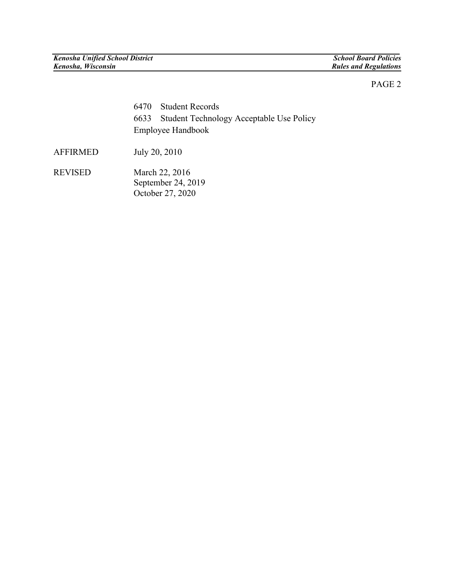## PAGE 2

| 6470 Student Records                          |
|-----------------------------------------------|
| 6633 Student Technology Acceptable Use Policy |
| Employee Handbook                             |

AFFIRMED July 20, 2010

REVISED March 22, 2016 September 24, 2019 October 27, 2020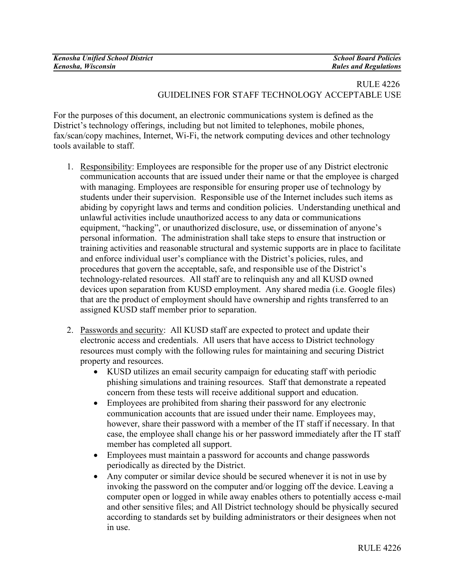| <b>Kenosha Unified School District</b> | <b>School Board Policies</b> |
|----------------------------------------|------------------------------|
| Kenosha, Wisconsin                     | <b>Rules and Regulations</b> |

# RULE 4226 GUIDELINES FOR STAFF TECHNOLOGY ACCEPTABLE USE

For the purposes of this document, an electronic communications system is defined as the District's technology offerings, including but not limited to telephones, mobile phones, fax/scan/copy machines, Internet, Wi-Fi, the network computing devices and other technology tools available to staff.

- 1. Responsibility: Employees are responsible for the proper use of any District electronic communication accounts that are issued under their name or that the employee is charged with managing. Employees are responsible for ensuring proper use of technology by students under their supervision. Responsible use of the Internet includes such items as abiding by copyright laws and terms and condition policies. Understanding unethical and unlawful activities include unauthorized access to any data or communications equipment, "hacking", or unauthorized disclosure, use, or dissemination of anyone's personal information. The administration shall take steps to ensure that instruction or training activities and reasonable structural and systemic supports are in place to facilitate and enforce individual user's compliance with the District's policies, rules, and procedures that govern the acceptable, safe, and responsible use of the District's technology-related resources. All staff are to relinquish any and all KUSD owned devices upon separation from KUSD employment. Any shared media (i.e. Google files) that are the product of employment should have ownership and rights transferred to an assigned KUSD staff member prior to separation.
- 2. Passwords and security: All KUSD staff are expected to protect and update their electronic access and credentials. All users that have access to District technology resources must comply with the following rules for maintaining and securing District property and resources.
	- KUSD utilizes an email security campaign for educating staff with periodic phishing simulations and training resources. Staff that demonstrate a repeated concern from these tests will receive additional support and education.
	- Employees are prohibited from sharing their password for any electronic communication accounts that are issued under their name. Employees may, however, share their password with a member of the IT staff if necessary. In that case, the employee shall change his or her password immediately after the IT staff member has completed all support.
	- Employees must maintain a password for accounts and change passwords periodically as directed by the District.
	- Any computer or similar device should be secured whenever it is not in use by invoking the password on the computer and/or logging off the device. Leaving a computer open or logged in while away enables others to potentially access e-mail and other sensitive files; and All District technology should be physically secured according to standards set by building administrators or their designees when not in use.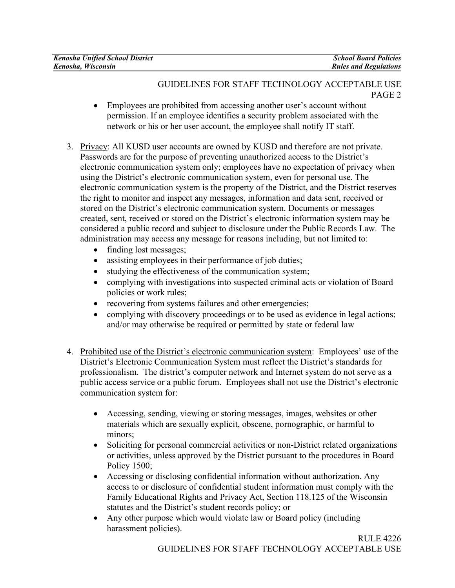| <b>Kenosha Unified School District</b> | <b>School Board Policies</b> |
|----------------------------------------|------------------------------|
| Kenosha, Wisconsin                     | <b>Rules and Regulations</b> |

### GUIDELINES FOR STAFF TECHNOLOGY ACCEPTABLE USE PAGE 2

- Employees are prohibited from accessing another user's account without permission. If an employee identifies a security problem associated with the network or his or her user account, the employee shall notify IT staff.
- 3. Privacy: All KUSD user accounts are owned by KUSD and therefore are not private. Passwords are for the purpose of preventing unauthorized access to the District's electronic communication system only; employees have no expectation of privacy when using the District's electronic communication system, even for personal use. The electronic communication system is the property of the District, and the District reserves the right to monitor and inspect any messages, information and data sent, received or stored on the District's electronic communication system. Documents or messages created, sent, received or stored on the District's electronic information system may be considered a public record and subject to disclosure under the Public Records Law. The administration may access any message for reasons including, but not limited to:
	- finding lost messages;
	- assisting employees in their performance of job duties;
	- studying the effectiveness of the communication system;
	- complying with investigations into suspected criminal acts or violation of Board policies or work rules;
	- recovering from systems failures and other emergencies;
	- complying with discovery proceedings or to be used as evidence in legal actions; and/or may otherwise be required or permitted by state or federal law
- 4. Prohibited use of the District's electronic communication system: Employees' use of the District's Electronic Communication System must reflect the District's standards for professionalism. The district's computer network and Internet system do not serve as a public access service or a public forum. Employees shall not use the District's electronic communication system for:
	- Accessing, sending, viewing or storing messages, images, websites or other materials which are sexually explicit, obscene, pornographic, or harmful to minors;
	- Soliciting for personal commercial activities or non-District related organizations or activities, unless approved by the District pursuant to the procedures in Board Policy 1500;
	- Accessing or disclosing confidential information without authorization. Any access to or disclosure of confidential student information must comply with the Family Educational Rights and Privacy Act, Section 118.125 of the Wisconsin statutes and the District's student records policy; or
	- Any other purpose which would violate law or Board policy (including harassment policies).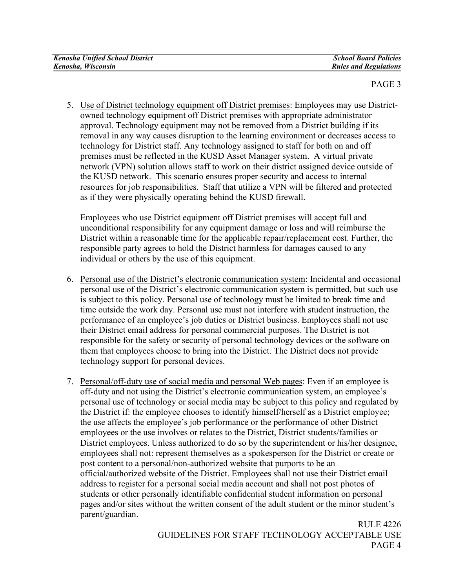| <b>Kenosha Unified School District</b> | <b>School Board Policies</b> |
|----------------------------------------|------------------------------|
| Kenosha, Wisconsin                     | <b>Rules and Regulations</b> |

### PAGE 3

5. Use of District technology equipment off District premises: Employees may use Districtowned technology equipment off District premises with appropriate administrator approval. Technology equipment may not be removed from a District building if its removal in any way causes disruption to the learning environment or decreases access to technology for District staff. Any technology assigned to staff for both on and off premises must be reflected in the KUSD Asset Manager system. A virtual private network (VPN) solution allows staff to work on their district assigned device outside of the KUSD network. This scenario ensures proper security and access to internal resources for job responsibilities. Staff that utilize a VPN will be filtered and protected as if they were physically operating behind the KUSD firewall.

Employees who use District equipment off District premises will accept full and unconditional responsibility for any equipment damage or loss and will reimburse the District within a reasonable time for the applicable repair/replacement cost. Further, the responsible party agrees to hold the District harmless for damages caused to any individual or others by the use of this equipment.

- 6. Personal use of the District's electronic communication system: Incidental and occasional personal use of the District's electronic communication system is permitted, but such use is subject to this policy. Personal use of technology must be limited to break time and time outside the work day. Personal use must not interfere with student instruction, the performance of an employee's job duties or District business. Employees shall not use their District email address for personal commercial purposes. The District is not responsible for the safety or security of personal technology devices or the software on them that employees choose to bring into the District. The District does not provide technology support for personal devices.
- 7. Personal/off-duty use of social media and personal Web pages: Even if an employee is off-duty and not using the District's electronic communication system, an employee's personal use of technology or social media may be subject to this policy and regulated by the District if: the employee chooses to identify himself/herself as a District employee; the use affects the employee's job performance or the performance of other District employees or the use involves or relates to the District, District students/families or District employees. Unless authorized to do so by the superintendent or his/her designee, employees shall not: represent themselves as a spokesperson for the District or create or post content to a personal/non-authorized website that purports to be an official/authorized website of the District. Employees shall not use their District email address to register for a personal social media account and shall not post photos of students or other personally identifiable confidential student information on personal pages and/or sites without the written consent of the adult student or the minor student's parent/guardian.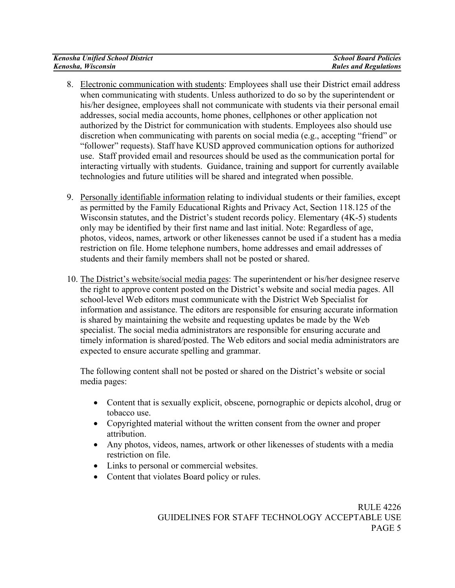| <b>Kenosha Unified School District</b> | <b>School Board Policies</b> |
|----------------------------------------|------------------------------|
| Kenosha, Wisconsin                     | <b>Rules and Regulations</b> |

- 8. Electronic communication with students: Employees shall use their District email address when communicating with students. Unless authorized to do so by the superintendent or his/her designee, employees shall not communicate with students via their personal email addresses, social media accounts, home phones, cellphones or other application not authorized by the District for communication with students. Employees also should use discretion when communicating with parents on social media (e.g., accepting "friend" or "follower" requests). Staff have KUSD approved communication options for authorized use. Staff provided email and resources should be used as the communication portal for interacting virtually with students. Guidance, training and support for currently available technologies and future utilities will be shared and integrated when possible.
- 9. Personally identifiable information relating to individual students or their families, except as permitted by the Family Educational Rights and Privacy Act, Section 118.125 of the Wisconsin statutes, and the District's student records policy. Elementary (4K-5) students only may be identified by their first name and last initial. Note: Regardless of age, photos, videos, names, artwork or other likenesses cannot be used if a student has a media restriction on file. Home telephone numbers, home addresses and email addresses of students and their family members shall not be posted or shared.
- 10. The District's website/social media pages: The superintendent or his/her designee reserve the right to approve content posted on the District's website and social media pages. All school-level Web editors must communicate with the District Web Specialist for information and assistance. The editors are responsible for ensuring accurate information is shared by maintaining the website and requesting updates be made by the Web specialist. The social media administrators are responsible for ensuring accurate and timely information is shared/posted. The Web editors and social media administrators are expected to ensure accurate spelling and grammar.

The following content shall not be posted or shared on the District's website or social media pages:

- Content that is sexually explicit, obscene, pornographic or depicts alcohol, drug or tobacco use.
- Copyrighted material without the written consent from the owner and proper attribution.
- Any photos, videos, names, artwork or other likenesses of students with a media restriction on file.
- Links to personal or commercial websites.
- Content that violates Board policy or rules.

 RULE 4226 GUIDELINES FOR STAFF TECHNOLOGY ACCEPTABLE USE PAGE 5